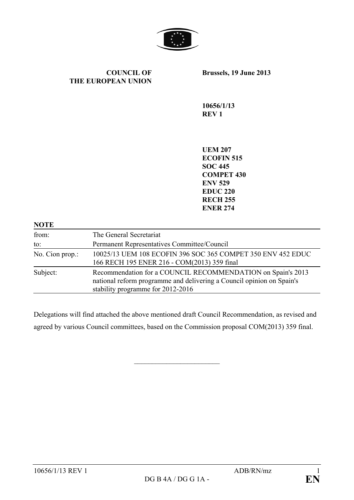

#### **COUNCIL OF THE EUROPEAN UNION**

**Brussels, 19 June 2013**

**10656/1/13 REV 1**

**UEM 207 ECOFIN 515 SOC 445 COMPET 430 ENV 529 EDUC 220 RECH 255 ENER 274**

| <b>NOTE</b>     |                                                                                                                                                                           |
|-----------------|---------------------------------------------------------------------------------------------------------------------------------------------------------------------------|
| from:           | The General Secretariat                                                                                                                                                   |
| to:             | Permanent Representatives Committee/Council                                                                                                                               |
| No. Cion prop.: | 10025/13 UEM 108 ECOFIN 396 SOC 365 COMPET 350 ENV 452 EDUC<br>166 RECH 195 ENER 216 - COM(2013) 359 final                                                                |
| Subject:        | Recommendation for a COUNCIL RECOMMENDATION on Spain's 2013<br>national reform programme and delivering a Council opinion on Spain's<br>stability programme for 2012-2016 |

Delegations will find attached the above mentioned draft Council Recommendation, as revised and agreed by various Council committees, based on the Commission proposal COM(2013) 359 final.

 $\overline{\phantom{a}}$  , which is a set of the set of the set of the set of the set of the set of the set of the set of the set of the set of the set of the set of the set of the set of the set of the set of the set of the set of th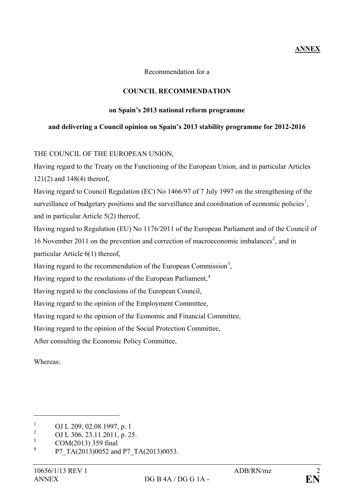# **ANNEX**

Recommendation for a

## **COUNCIL RECOMMENDATION**

#### **on Spain's 2013 national reform programme**

### **and delivering a Council opinion on Spain's 2013 stability programme for 2012-2016**

## THE COUNCIL OF THE EUROPEAN UNION,

Having regard to the Treaty on the Functioning of the European Union, and in particular Articles 121(2) and 148(4) thereof,

Having regard to Council Regulation (EC) No 1466/97 of 7 July 1997 on the strengthening of the surveillance of budgetary positions and the surveillance and coordination of economic policies<sup>[1](#page-1-0)</sup>, and in particular Article 5(2) thereof,

Having regard to Regulation (EU) No 1176/2011 of the European Parliament and of the Council of 16 November [2](#page-1-1)011 on the prevention and correction of macroeconomic imbalances<sup>2</sup>, and in particular Article 6(1) thereof,

Having regard to the recommendation of the European Commission<sup>[3](#page-1-2)</sup>,

Having regard to the resolutions of the European Parliament,<sup>[4](#page-1-3)</sup>

Having regard to the conclusions of the European Council,

Having regard to the opinion of the Employment Committee,

Having regard to the opinion of the Economic and Financial Committee,

Having regard to the opinion of the Social Protection Committee,

After consulting the Economic Policy Committee,

Whereas:

<span id="page-1-0"></span><sup>&</sup>lt;sup>1</sup> OJ L 209, 02.08.1997, p. 1<br>2 OJ L 206, 22, 11, 2011, p. 2

<span id="page-1-1"></span><sup>&</sup>lt;sup>2</sup> OJ L 306, 23.11.2011, p. 25.

<span id="page-1-2"></span> $\frac{3}{4}$  COM(2013) 359 final

<span id="page-1-3"></span>P7\_TA(2013)0052 and P7\_TA(2013)0053.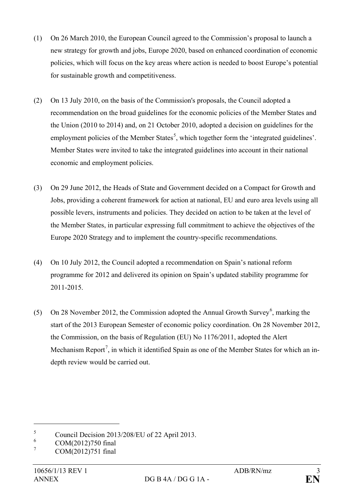- (1) On 26 March 2010, the European Council agreed to the Commission's proposal to launch a new strategy for growth and jobs, Europe 2020, based on enhanced coordination of economic policies, which will focus on the key areas where action is needed to boost Europe's potential for sustainable growth and competitiveness.
- (2) On 13 July 2010, on the basis of the Commission's proposals, the Council adopted a recommendation on the broad guidelines for the economic policies of the Member States and the Union (2010 to 2014) and, on 21 October 2010, adopted a decision on guidelines for the employment policies of the Member States<sup>[5](#page-2-0)</sup>, which together form the 'integrated guidelines'. Member States were invited to take the integrated guidelines into account in their national economic and employment policies.
- (3) On 29 June 2012, the Heads of State and Government decided on a Compact for Growth and Jobs, providing a coherent framework for action at national, EU and euro area levels using all possible levers, instruments and policies. They decided on action to be taken at the level of the Member States, in particular expressing full commitment to achieve the objectives of the Europe 2020 Strategy and to implement the country-specific recommendations.
- (4) On 10 July 2012, the Council adopted a recommendation on Spain's national reform programme for 2012 and delivered its opinion on Spain's updated stability programme for 2011-2015.
- (5) On 28 November 2012, the Commission adopted the Annual Growth Survey<sup>[6](#page-2-1)</sup>, marking the start of the 2013 European Semester of economic policy coordination. On 28 November 2012, the Commission, on the basis of Regulation (EU) No 1176/2011, adopted the Alert Mechanism Report<sup>[7](#page-2-2)</sup>, in which it identified Spain as one of the Member States for which an indepth review would be carried out.

<span id="page-2-0"></span> $\frac{5}{6}$  Council Decision 2013/208/EU of 22 April 2013.

<span id="page-2-1"></span> $^{6}$  COM(2012)750 final

<span id="page-2-2"></span>COM(2012)751 final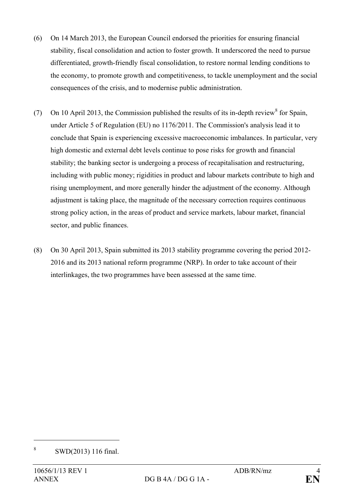- (6) On 14 March 2013, the European Council endorsed the priorities for ensuring financial stability, fiscal consolidation and action to foster growth. It underscored the need to pursue differentiated, growth-friendly fiscal consolidation, to restore normal lending conditions to the economy, to promote growth and competitiveness, to tackle unemployment and the social consequences of the crisis, and to modernise public administration.
- (7) On 10 April 2013, the Commission published the results of its in-depth review<sup>[8](#page-3-0)</sup> for Spain, under Article 5 of Regulation (EU) no 1176/2011. The Commission's analysis lead it to conclude that Spain is experiencing excessive macroeconomic imbalances. In particular, very high domestic and external debt levels continue to pose risks for growth and financial stability; the banking sector is undergoing a process of recapitalisation and restructuring, including with public money; rigidities in product and labour markets contribute to high and rising unemployment, and more generally hinder the adjustment of the economy. Although adjustment is taking place, the magnitude of the necessary correction requires continuous strong policy action, in the areas of product and service markets, labour market, financial sector, and public finances.
- (8) On 30 April 2013, Spain submitted its 2013 stability programme covering the period 2012- 2016 and its 2013 national reform programme (NRP). In order to take account of their interlinkages, the two programmes have been assessed at the same time.

<span id="page-3-0"></span><sup>8</sup> SWD(2013) 116 final.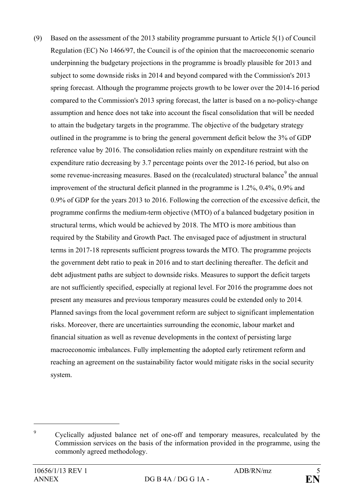(9) Based on the assessment of the 2013 stability programme pursuant to Article 5(1) of Council Regulation (EC) No 1466/97, the Council is of the opinion that the macroeconomic scenario underpinning the budgetary projections in the programme is broadly plausible for 2013 and subject to some downside risks in 2014 and beyond compared with the Commission's 2013 spring forecast. Although the programme projects growth to be lower over the 2014-16 period compared to the Commission's 2013 spring forecast, the latter is based on a no-policy-change assumption and hence does not take into account the fiscal consolidation that will be needed to attain the budgetary targets in the programme. The objective of the budgetary strategy outlined in the programme is to bring the general government deficit below the 3% of GDP reference value by 2016. The consolidation relies mainly on expenditure restraint with the expenditure ratio decreasing by 3.7 percentage points over the 2012-16 period, but also on some revenue-increasing measures. Based on the (recalculated) structural balance<sup>[9](#page-4-0)</sup> the annual improvement of the structural deficit planned in the programme is 1.2%, 0.4%, 0.9% and 0.9% of GDP for the years 2013 to 2016. Following the correction of the excessive deficit, the programme confirms the medium-term objective (MTO) of a balanced budgetary position in structural terms, which would be achieved by 2018. The MTO is more ambitious than required by the Stability and Growth Pact. The envisaged pace of adjustment in structural terms in 2017-18 represents sufficient progress towards the MTO. The programme projects the government debt ratio to peak in 2016 and to start declining thereafter. The deficit and debt adjustment paths are subject to downside risks. Measures to support the deficit targets are not sufficiently specified, especially at regional level. For 2016 the programme does not present any measures and previous temporary measures could be extended only to 2014*.* Planned savings from the local government reform are subject to significant implementation risks. Moreover, there are uncertainties surrounding the economic, labour market and financial situation as well as revenue developments in the context of persisting large macroeconomic imbalances. Fully implementing the adopted early retirement reform and reaching an agreement on the sustainability factor would mitigate risks in the social security system.

<span id="page-4-0"></span><sup>9</sup> Cyclically adjusted balance net of one-off and temporary measures, recalculated by the Commission services on the basis of the information provided in the programme, using the commonly agreed methodology.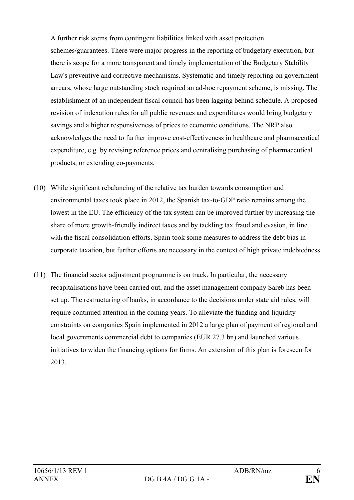A further risk stems from contingent liabilities linked with asset protection schemes/guarantees. There were major progress in the reporting of budgetary execution, but there is scope for a more transparent and timely implementation of the Budgetary Stability Law's preventive and corrective mechanisms. Systematic and timely reporting on government arrears, whose large outstanding stock required an ad-hoc repayment scheme, is missing. The establishment of an independent fiscal council has been lagging behind schedule. A proposed revision of indexation rules for all public revenues and expenditures would bring budgetary savings and a higher responsiveness of prices to economic conditions. The NRP also acknowledges the need to further improve cost-effectiveness in healthcare and pharmaceutical expenditure, e.g. by revising reference prices and centralising purchasing of pharmaceutical products, or extending co-payments.

- (10) While significant rebalancing of the relative tax burden towards consumption and environmental taxes took place in 2012, the Spanish tax-to-GDP ratio remains among the lowest in the EU. The efficiency of the tax system can be improved further by increasing the share of more growth-friendly indirect taxes and by tackling tax fraud and evasion, in line with the fiscal consolidation efforts. Spain took some measures to address the debt bias in corporate taxation, but further efforts are necessary in the context of high private indebtedness
- (11) The financial sector adjustment programme is on track. In particular, the necessary recapitalisations have been carried out, and the asset management company Sareb has been set up. The restructuring of banks, in accordance to the decisions under state aid rules, will require continued attention in the coming years. To alleviate the funding and liquidity constraints on companies Spain implemented in 2012 a large plan of payment of regional and local governments commercial debt to companies (EUR 27.3 bn) and launched various initiatives to widen the financing options for firms. An extension of this plan is foreseen for 2013.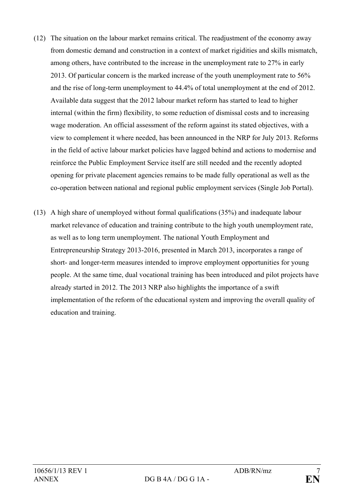- (12) The situation on the labour market remains critical. The readjustment of the economy away from domestic demand and construction in a context of market rigidities and skills mismatch, among others, have contributed to the increase in the unemployment rate to 27% in early 2013. Of particular concern is the marked increase of the youth unemployment rate to 56% and the rise of long-term unemployment to 44.4% of total unemployment at the end of 2012. Available data suggest that the 2012 labour market reform has started to lead to higher internal (within the firm) flexibility, to some reduction of dismissal costs and to increasing wage moderation. An official assessment of the reform against its stated objectives, with a view to complement it where needed, has been announced in the NRP for July 2013. Reforms in the field of active labour market policies have lagged behind and actions to modernise and reinforce the Public Employment Service itself are still needed and the recently adopted opening for private placement agencies remains to be made fully operational as well as the co-operation between national and regional public employment services (Single Job Portal).
- (13) A high share of unemployed without formal qualifications (35%) and inadequate labour market relevance of education and training contribute to the high youth unemployment rate, as well as to long term unemployment. The national Youth Employment and Entrepreneurship Strategy 2013-2016, presented in March 2013, incorporates a range of short- and longer-term measures intended to improve employment opportunities for young people. At the same time, dual vocational training has been introduced and pilot projects have already started in 2012. The 2013 NRP also highlights the importance of a swift implementation of the reform of the educational system and improving the overall quality of education and training.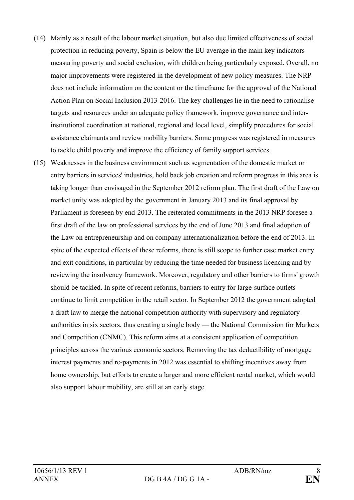- (14) Mainly as a result of the labour market situation, but also due limited effectiveness of social protection in reducing poverty, Spain is below the EU average in the main key indicators measuring poverty and social exclusion, with children being particularly exposed. Overall, no major improvements were registered in the development of new policy measures. The NRP does not include information on the content or the timeframe for the approval of the National Action Plan on Social Inclusion 2013-2016. The key challenges lie in the need to rationalise targets and resources under an adequate policy framework, improve governance and interinstitutional coordination at national, regional and local level, simplify procedures for social assistance claimants and review mobility barriers. Some progress was registered in measures to tackle child poverty and improve the efficiency of family support services.
- (15) Weaknesses in the business environment such as segmentation of the domestic market or entry barriers in services' industries, hold back job creation and reform progress in this area is taking longer than envisaged in the September 2012 reform plan. The first draft of the Law on market unity was adopted by the government in January 2013 and its final approval by Parliament is foreseen by end-2013. The reiterated commitments in the 2013 NRP foresee a first draft of the law on professional services by the end of June 2013 and final adoption of the Law on entrepreneurship and on company internationalization before the end of 2013. In spite of the expected effects of these reforms, there is still scope to further ease market entry and exit conditions, in particular by reducing the time needed for business licencing and by reviewing the insolvency framework. Moreover, regulatory and other barriers to firms' growth should be tackled. In spite of recent reforms, barriers to entry for large-surface outlets continue to limit competition in the retail sector. In September 2012 the government adopted a draft law to merge the national competition authority with supervisory and regulatory authorities in six sectors, thus creating a single body — the National Commission for Markets and Competition (CNMC). This reform aims at a consistent application of competition principles across the various economic sectors. Removing the tax deductibility of mortgage interest payments and re-payments in 2012 was essential to shifting incentives away from home ownership, but efforts to create a larger and more efficient rental market, which would also support labour mobility, are still at an early stage.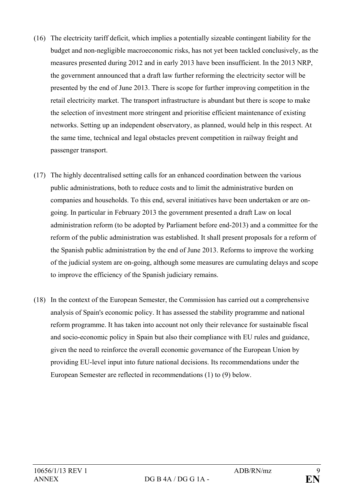- (16) The electricity tariff deficit, which implies a potentially sizeable contingent liability for the budget and non-negligible macroeconomic risks, has not yet been tackled conclusively, as the measures presented during 2012 and in early 2013 have been insufficient. In the 2013 NRP, the government announced that a draft law further reforming the electricity sector will be presented by the end of June 2013. There is scope for further improving competition in the retail electricity market. The transport infrastructure is abundant but there is scope to make the selection of investment more stringent and prioritise efficient maintenance of existing networks. Setting up an independent observatory, as planned, would help in this respect. At the same time, technical and legal obstacles prevent competition in railway freight and passenger transport.
- (17) The highly decentralised setting calls for an enhanced coordination between the various public administrations, both to reduce costs and to limit the administrative burden on companies and households. To this end, several initiatives have been undertaken or are ongoing. In particular in February 2013 the government presented a draft Law on local administration reform (to be adopted by Parliament before end-2013) and a committee for the reform of the public administration was established. It shall present proposals for a reform of the Spanish public administration by the end of June 2013. Reforms to improve the working of the judicial system are on-going, although some measures are cumulating delays and scope to improve the efficiency of the Spanish judiciary remains.
- (18) In the context of the European Semester, the Commission has carried out a comprehensive analysis of Spain's economic policy. It has assessed the stability programme and national reform programme. It has taken into account not only their relevance for sustainable fiscal and socio-economic policy in Spain but also their compliance with EU rules and guidance, given the need to reinforce the overall economic governance of the European Union by providing EU-level input into future national decisions. Its recommendations under the European Semester are reflected in recommendations (1) to (9) below.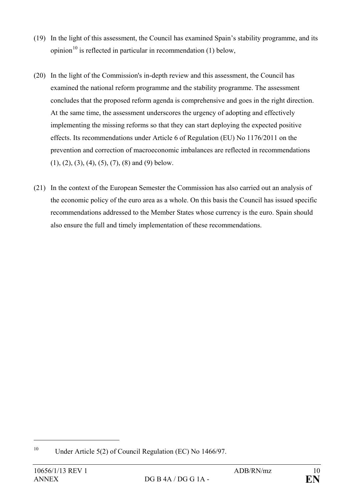- (19) In the light of this assessment, the Council has examined Spain's stability programme, and its opinion<sup>[10](#page-9-0)</sup> is reflected in particular in recommendation (1) below,
- (20) In the light of the Commission's in-depth review and this assessment, the Council has examined the national reform programme and the stability programme. The assessment concludes that the proposed reform agenda is comprehensive and goes in the right direction. At the same time, the assessment underscores the urgency of adopting and effectively implementing the missing reforms so that they can start deploying the expected positive effects. Its recommendations under Article 6 of Regulation (EU) No 1176/2011 on the prevention and correction of macroeconomic imbalances are reflected in recommendations  $(1), (2), (3), (4), (5), (7), (8)$  and  $(9)$  below.
- (21) In the context of the European Semester the Commission has also carried out an analysis of the economic policy of the euro area as a whole. On this basis the Council has issued specific recommendations addressed to the Member States whose currency is the euro. Spain should also ensure the full and timely implementation of these recommendations.

<span id="page-9-0"></span><sup>&</sup>lt;sup>10</sup> Under Article 5(2) of Council Regulation (EC) No  $1466/97$ .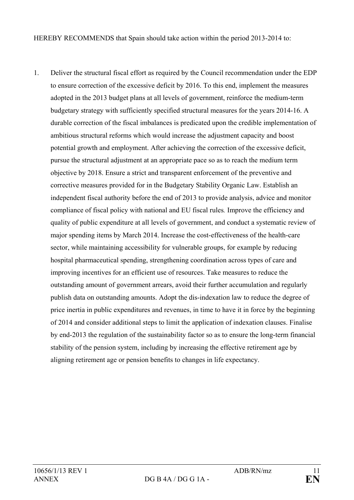HEREBY RECOMMENDS that Spain should take action within the period 2013-2014 to:

1. Deliver the structural fiscal effort as required by the Council recommendation under the EDP to ensure correction of the excessive deficit by 2016. To this end, implement the measures adopted in the 2013 budget plans at all levels of government, reinforce the medium-term budgetary strategy with sufficiently specified structural measures for the years 2014-16. A durable correction of the fiscal imbalances is predicated upon the credible implementation of ambitious structural reforms which would increase the adjustment capacity and boost potential growth and employment. After achieving the correction of the excessive deficit, pursue the structural adjustment at an appropriate pace so as to reach the medium term objective by 2018. Ensure a strict and transparent enforcement of the preventive and corrective measures provided for in the Budgetary Stability Organic Law. Establish an independent fiscal authority before the end of 2013 to provide analysis, advice and monitor compliance of fiscal policy with national and EU fiscal rules*.* Improve the efficiency and quality of public expenditure at all levels of government, and conduct a systematic review of major spending items by March 2014. Increase the cost-effectiveness of the health-care sector, while maintaining accessibility for vulnerable groups, for example by reducing hospital pharmaceutical spending, strengthening coordination across types of care and improving incentives for an efficient use of resources. Take measures to reduce the outstanding amount of government arrears, avoid their further accumulation and regularly publish data on outstanding amounts. Adopt the dis-indexation law to reduce the degree of price inertia in public expenditures and revenues, in time to have it in force by the beginning of 2014 and consider additional steps to limit the application of indexation clauses. Finalise by end-2013 the regulation of the sustainability factor so as to ensure the long-term financial stability of the pension system, including by increasing the effective retirement age by aligning retirement age or pension benefits to changes in life expectancy.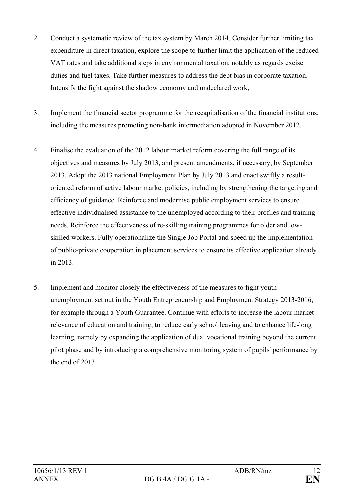- 2. Conduct a systematic review of the tax system by March 2014. Consider further limiting tax expenditure in direct taxation, explore the scope to further limit the application of the reduced VAT rates and take additional steps in environmental taxation, notably as regards excise duties and fuel taxes. Take further measures to address the debt bias in corporate taxation. Intensify the fight against the shadow economy and undeclared work,
- 3. Implement the financial sector programme for the recapitalisation of the financial institutions, including the measures promoting non-bank intermediation adopted in November 2012.
- 4. Finalise the evaluation of the 2012 labour market reform covering the full range of its objectives and measures by July 2013, and present amendments, if necessary, by September 2013. Adopt the 2013 national Employment Plan by July 2013 and enact swiftly a resultoriented reform of active labour market policies, including by strengthening the targeting and efficiency of guidance. Reinforce and modernise public employment services to ensure effective individualised assistance to the unemployed according to their profiles and training needs. Reinforce the effectiveness of re-skilling training programmes for older and lowskilled workers. Fully operationalize the Single Job Portal and speed up the implementation of public-private cooperation in placement services to ensure its effective application already in 2013.
- 5. Implement and monitor closely the effectiveness of the measures to fight youth unemployment set out in the Youth Entrepreneurship and Employment Strategy 2013-2016, for example through a Youth Guarantee. Continue with efforts to increase the labour market relevance of education and training, to reduce early school leaving and to enhance life-long learning, namely by expanding the application of dual vocational training beyond the current pilot phase and by introducing a comprehensive monitoring system of pupils' performance by the end of 2013.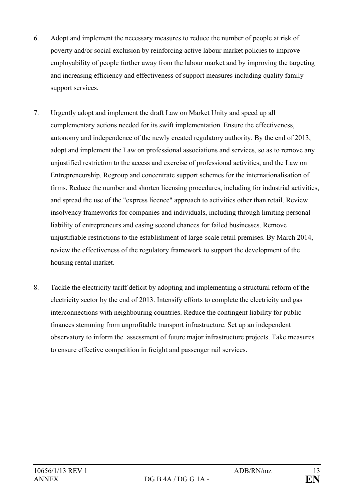- 6. Adopt and implement the necessary measures to reduce the number of people at risk of poverty and/or social exclusion by reinforcing active labour market policies to improve employability of people further away from the labour market and by improving the targeting and increasing efficiency and effectiveness of support measures including quality family support services.
- 7. Urgently adopt and implement the draft Law on Market Unity and speed up all complementary actions needed for its swift implementation. Ensure the effectiveness, autonomy and independence of the newly created regulatory authority. By the end of 2013, adopt and implement the Law on professional associations and services, so as to remove any unjustified restriction to the access and exercise of professional activities, and the Law on Entrepreneurship. Regroup and concentrate support schemes for the internationalisation of firms. Reduce the number and shorten licensing procedures, including for industrial activities, and spread the use of the "express licence" approach to activities other than retail. Review insolvency frameworks for companies and individuals, including through limiting personal liability of entrepreneurs and easing second chances for failed businesses. Remove unjustifiable restrictions to the establishment of large-scale retail premises. By March 2014, review the effectiveness of the regulatory framework to support the development of the housing rental market.
- 8. Tackle the electricity tariff deficit by adopting and implementing a structural reform of the electricity sector by the end of 2013. Intensify efforts to complete the electricity and gas interconnections with neighbouring countries. Reduce the contingent liability for public finances stemming from unprofitable transport infrastructure. Set up an independent observatory to inform the assessment of future major infrastructure projects. Take measures to ensure effective competition in freight and passenger rail services.